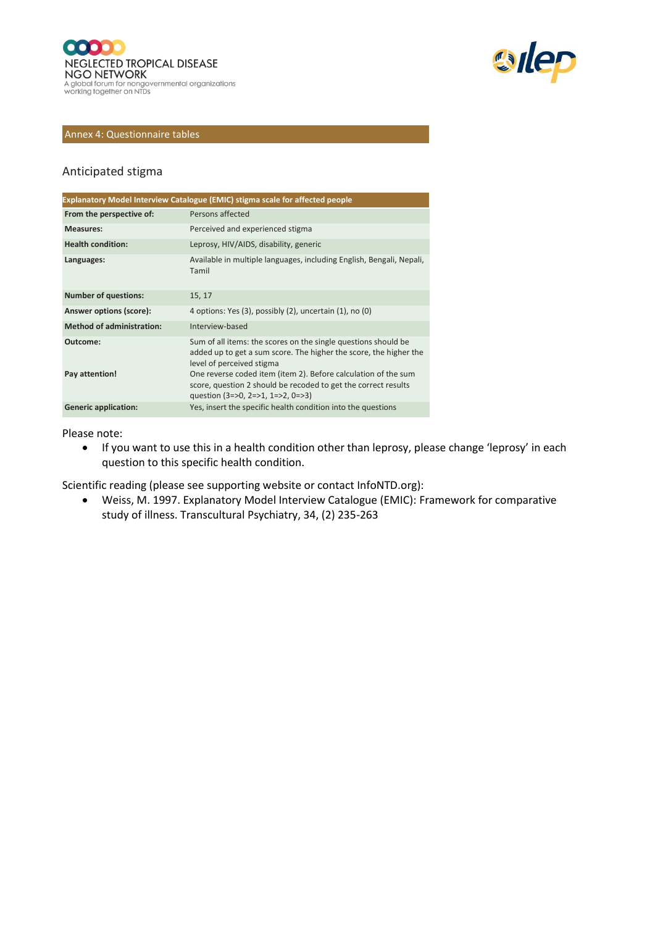



#### Annex 4: Questionnaire tables

#### Anticipated stigma

|                                  | Explanatory Model Interview Catalogue (EMIC) stigma scale for affected people                                                                                                   |
|----------------------------------|---------------------------------------------------------------------------------------------------------------------------------------------------------------------------------|
| From the perspective of:         | Persons affected                                                                                                                                                                |
| <b>Measures:</b>                 | Perceived and experienced stigma                                                                                                                                                |
| <b>Health condition:</b>         | Leprosy, HIV/AIDS, disability, generic                                                                                                                                          |
| Languages:                       | Available in multiple languages, including English, Bengali, Nepali,<br>Tamil                                                                                                   |
| <b>Number of questions:</b>      | 15, 17                                                                                                                                                                          |
| Answer options (score):          | 4 options: Yes (3), possibly (2), uncertain (1), no (0)                                                                                                                         |
| <b>Method of administration:</b> | Interview-based                                                                                                                                                                 |
| Outcome:                         | Sum of all items: the scores on the single questions should be<br>added up to get a sum score. The higher the score, the higher the<br>level of perceived stigma                |
| Pay attention!                   | One reverse coded item (item 2). Before calculation of the sum<br>score, question 2 should be recoded to get the correct results<br>question $(3 = 50, 2 = 51, 1 = 52, 0 = 53)$ |
| <b>Generic application:</b>      | Yes, insert the specific health condition into the questions                                                                                                                    |

#### Please note:

• If you want to use this in a health condition other than leprosy, please change 'leprosy' in each question to this specific health condition.

Scientific reading (please see supporting website or contact InfoNTD.org):

• Weiss, M. 1997. Explanatory Model Interview Catalogue (EMIC): Framework for comparative study of illness. Transcultural Psychiatry, 34, (2) 235-263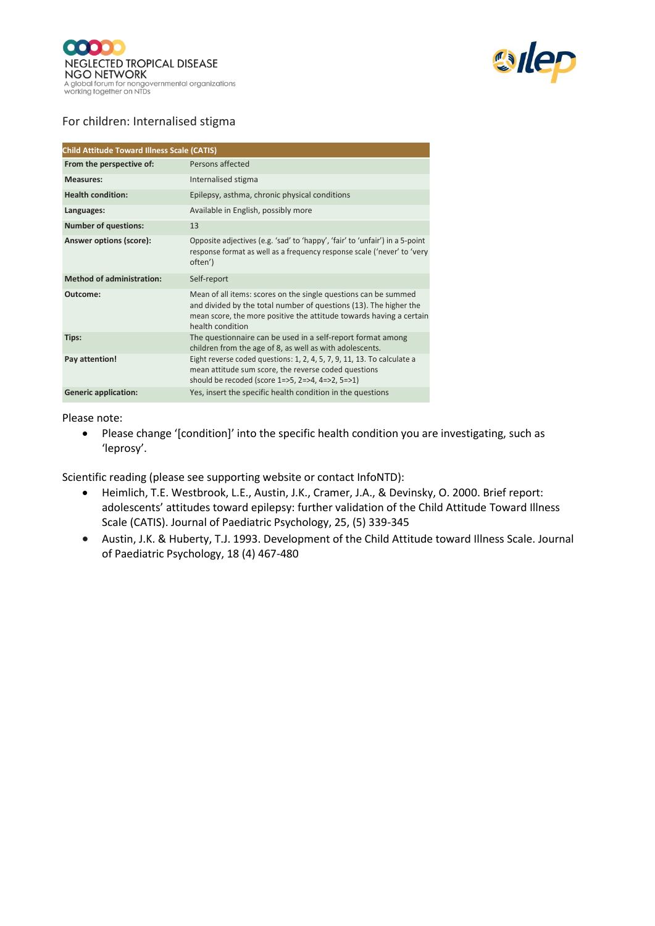



## For children: Internalised stigma

| <b>Child Attitude Toward Illness Scale (CATIS)</b> |                                                                                                                                                                                                                                 |
|----------------------------------------------------|---------------------------------------------------------------------------------------------------------------------------------------------------------------------------------------------------------------------------------|
| From the perspective of:                           | Persons affected                                                                                                                                                                                                                |
| <b>Measures:</b>                                   | Internalised stigma                                                                                                                                                                                                             |
| <b>Health condition:</b>                           | Epilepsy, asthma, chronic physical conditions                                                                                                                                                                                   |
| Languages:                                         | Available in English, possibly more                                                                                                                                                                                             |
| <b>Number of questions:</b>                        | 13                                                                                                                                                                                                                              |
| Answer options (score):                            | Opposite adjectives (e.g. 'sad' to 'happy', 'fair' to 'unfair') in a 5-point<br>response format as well as a frequency response scale ('never' to 'very<br>often')                                                              |
| <b>Method of administration:</b>                   | Self-report                                                                                                                                                                                                                     |
| Outcome:                                           | Mean of all items: scores on the single questions can be summed<br>and divided by the total number of questions (13). The higher the<br>mean score, the more positive the attitude towards having a certain<br>health condition |
| Tips:                                              | The questionnaire can be used in a self-report format among<br>children from the age of 8, as well as with adolescents.                                                                                                         |
| Pay attention!                                     | Eight reverse coded questions: 1, 2, 4, 5, 7, 9, 11, 13. To calculate a<br>mean attitude sum score, the reverse coded questions<br>should be recoded (score 1=>5, 2=>4, 4=>2, 5=>1)                                             |
| <b>Generic application:</b>                        | Yes, insert the specific health condition in the questions                                                                                                                                                                      |

#### Please note:

• Please change '[condition]' into the specific health condition you are investigating, such as 'leprosy'.

- Heimlich, T.E. Westbrook, L.E., Austin, J.K., Cramer, J.A., & Devinsky, O. 2000. Brief report: adolescents' attitudes toward epilepsy: further validation of the Child Attitude Toward Illness Scale (CATIS). Journal of Paediatric Psychology, 25, (5) 339-345
- Austin, J.K. & Huberty, T.J. 1993. Development of the Child Attitude toward Illness Scale. Journal of Paediatric Psychology, 18 (4) 467-480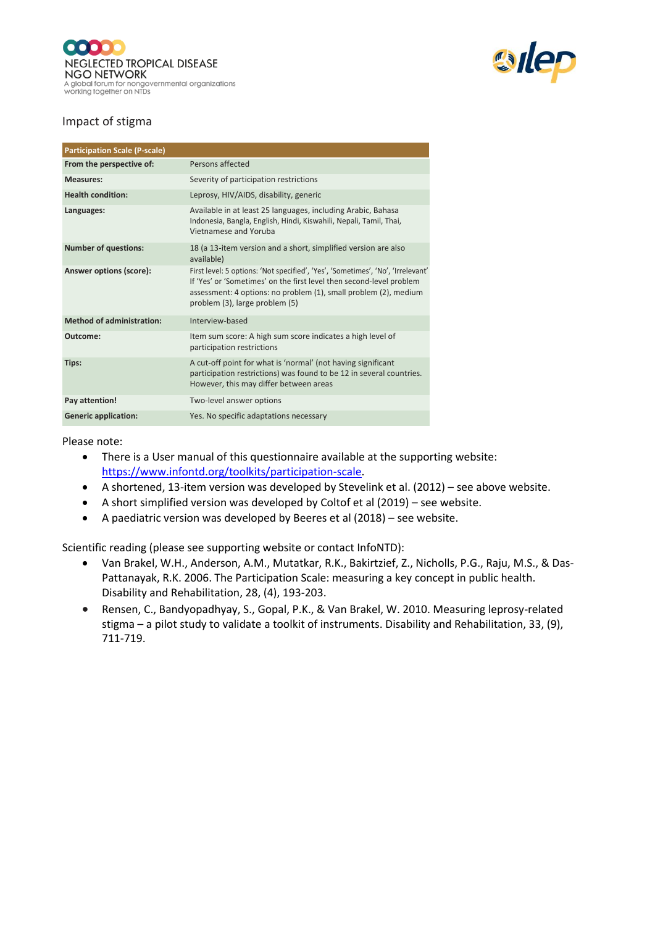



## Impact of stigma

| <b>Participation Scale (P-scale)</b> |                                                                                                                                                                                                                                                               |
|--------------------------------------|---------------------------------------------------------------------------------------------------------------------------------------------------------------------------------------------------------------------------------------------------------------|
| From the perspective of:             | Persons affected                                                                                                                                                                                                                                              |
| <b>Measures:</b>                     | Severity of participation restrictions                                                                                                                                                                                                                        |
| <b>Health condition:</b>             | Leprosy, HIV/AIDS, disability, generic                                                                                                                                                                                                                        |
| Languages:                           | Available in at least 25 languages, including Arabic, Bahasa<br>Indonesia, Bangla, English, Hindi, Kiswahili, Nepali, Tamil, Thai,<br>Vietnamese and Yoruba                                                                                                   |
| <b>Number of questions:</b>          | 18 (a 13-item version and a short, simplified version are also<br>available)                                                                                                                                                                                  |
| Answer options (score):              | First level: 5 options: 'Not specified', 'Yes', 'Sometimes', 'No', 'Irrelevant'<br>If 'Yes' or 'Sometimes' on the first level then second-level problem<br>assessment: 4 options: no problem (1), small problem (2), medium<br>problem (3), large problem (5) |
| <b>Method of administration:</b>     | Interview-based                                                                                                                                                                                                                                               |
| Outcome:                             | Item sum score: A high sum score indicates a high level of<br>participation restrictions                                                                                                                                                                      |
| Tips:                                | A cut-off point for what is 'normal' (not having significant<br>participation restrictions) was found to be 12 in several countries.<br>However, this may differ between areas                                                                                |
| Pay attention!                       | Two-level answer options                                                                                                                                                                                                                                      |
| <b>Generic application:</b>          | Yes. No specific adaptations necessary                                                                                                                                                                                                                        |

#### Please note:

- There is a User manual of this questionnaire available at the supporting website: [https://www.infontd.org/toolkits/participation-scale.](https://www.infontd.org/toolkits/participation-scale)
- A shortened, 13-item version was developed by Stevelink et al. (2012) see above website.
- A short simplified version was developed by Coltof et al (2019) see website.
- A paediatric version was developed by Beeres et al (2018) see website.

- Van Brakel, W.H., Anderson, A.M., Mutatkar, R.K., Bakirtzief, Z., Nicholls, P.G., Raju, M.S., & Das-Pattanayak, R.K. 2006. The Participation Scale: measuring a key concept in public health. Disability and Rehabilitation, 28, (4), 193-203.
- Rensen, C., Bandyopadhyay, S., Gopal, P.K., & Van Brakel, W. 2010. Measuring leprosy-related stigma – a pilot study to validate a toolkit of instruments. Disability and Rehabilitation, 33, (9), 711-719.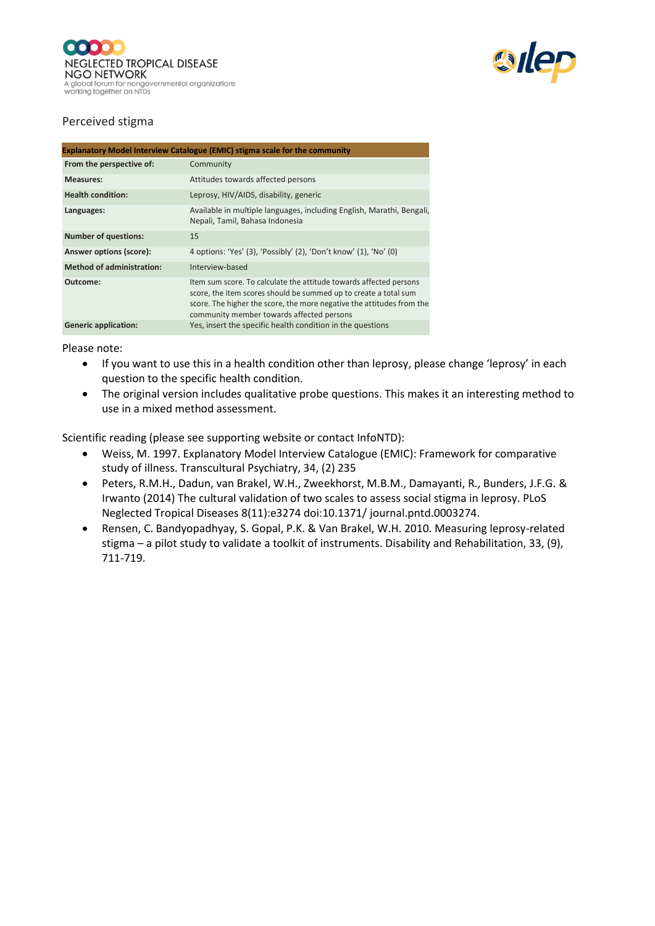



## Perceived stigma

| <b>Explanatory Model Interview Catalogue (EMIC) stigma scale for the community</b> |                                                                                                                                                                                                                                                              |
|------------------------------------------------------------------------------------|--------------------------------------------------------------------------------------------------------------------------------------------------------------------------------------------------------------------------------------------------------------|
| From the perspective of:                                                           | Community                                                                                                                                                                                                                                                    |
| <b>Measures:</b>                                                                   | Attitudes towards affected persons                                                                                                                                                                                                                           |
| <b>Health condition:</b>                                                           | Leprosy, HIV/AIDS, disability, generic                                                                                                                                                                                                                       |
| Languages:                                                                         | Available in multiple languages, including English, Marathi, Bengali,<br>Nepali, Tamil, Bahasa Indonesia                                                                                                                                                     |
| <b>Number of questions:</b>                                                        | 15                                                                                                                                                                                                                                                           |
| Answer options (score):                                                            | 4 options: 'Yes' (3), 'Possibly' (2), 'Don't know' (1), 'No' (0)                                                                                                                                                                                             |
| <b>Method of administration:</b>                                                   | Interview-based                                                                                                                                                                                                                                              |
| Outcome:                                                                           | Item sum score. To calculate the attitude towards affected persons<br>score, the item scores should be summed up to create a total sum<br>score. The higher the score, the more negative the attitudes from the<br>community member towards affected persons |
| <b>Generic application:</b>                                                        | Yes, insert the specific health condition in the questions                                                                                                                                                                                                   |

Please note:

- If you want to use this in a health condition other than leprosy, please change 'leprosy' in each question to the specific health condition.
- The original version includes qualitative probe questions. This makes it an interesting method to use in a mixed method assessment.

- Weiss, M. 1997. Explanatory Model Interview Catalogue (EMIC): Framework for comparative study of illness. Transcultural Psychiatry, 34, (2) 235
- Peters, R.M.H., Dadun, van Brakel, W.H., Zweekhorst, M.B.M., Damayanti, R., Bunders, J.F.G. & Irwanto (2014) The cultural validation of two scales to assess social stigma in leprosy. PLoS Neglected Tropical Diseases 8(11):e3274 doi:10.1371/ journal.pntd.0003274.
- Rensen, C. Bandyopadhyay, S. Gopal, P.K. & Van Brakel, W.H. 2010. Measuring leprosy-related stigma – a pilot study to validate a toolkit of instruments. Disability and Rehabilitation, 33, (9), 711-719.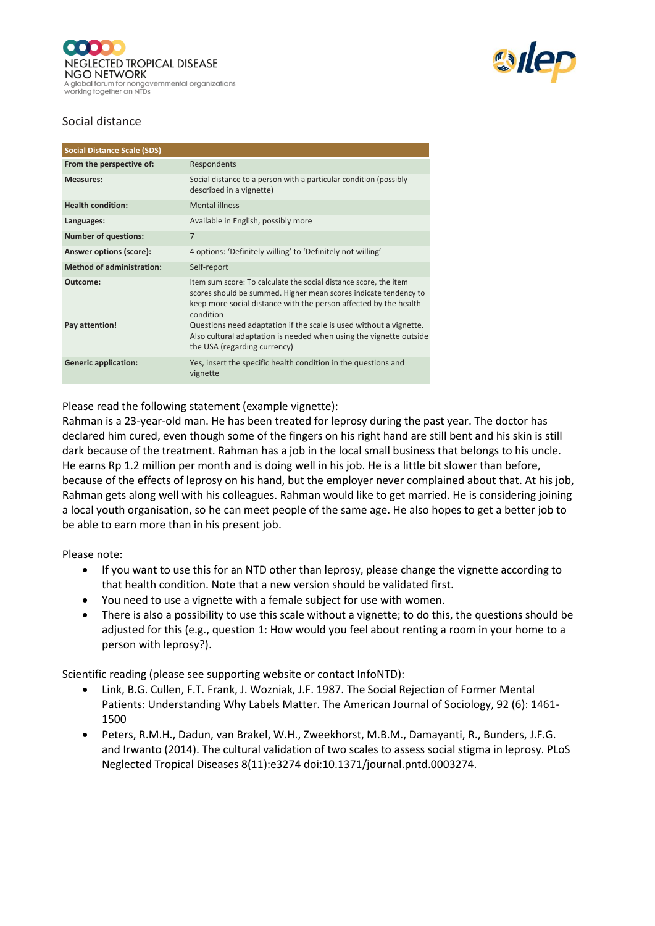



## Social distance

| <b>Social Distance Scale (SDS)</b> |                                                                                                                                                                                                                                                                                                                                                                   |
|------------------------------------|-------------------------------------------------------------------------------------------------------------------------------------------------------------------------------------------------------------------------------------------------------------------------------------------------------------------------------------------------------------------|
| From the perspective of:           | Respondents                                                                                                                                                                                                                                                                                                                                                       |
| <b>Measures:</b>                   | Social distance to a person with a particular condition (possibly<br>described in a vignette)                                                                                                                                                                                                                                                                     |
| <b>Health condition:</b>           | <b>Mental illness</b>                                                                                                                                                                                                                                                                                                                                             |
| Languages:                         | Available in English, possibly more                                                                                                                                                                                                                                                                                                                               |
| <b>Number of questions:</b>        | $\overline{7}$                                                                                                                                                                                                                                                                                                                                                    |
| Answer options (score):            | 4 options: 'Definitely willing' to 'Definitely not willing'                                                                                                                                                                                                                                                                                                       |
| <b>Method of administration:</b>   | Self-report                                                                                                                                                                                                                                                                                                                                                       |
| Outcome:<br>Pay attention!         | Item sum score: To calculate the social distance score, the item<br>scores should be summed. Higher mean scores indicate tendency to<br>keep more social distance with the person affected by the health<br>condition<br>Questions need adaptation if the scale is used without a vignette.<br>Also cultural adaptation is needed when using the vignette outside |
|                                    | the USA (regarding currency)                                                                                                                                                                                                                                                                                                                                      |
| <b>Generic application:</b>        | Yes, insert the specific health condition in the questions and<br>vignette                                                                                                                                                                                                                                                                                        |

Please read the following statement (example vignette):

Rahman is a 23-year-old man. He has been treated for leprosy during the past year. The doctor has declared him cured, even though some of the fingers on his right hand are still bent and his skin is still dark because of the treatment. Rahman has a job in the local small business that belongs to his uncle. He earns Rp 1.2 million per month and is doing well in his job. He is a little bit slower than before, because of the effects of leprosy on his hand, but the employer never complained about that. At his job, Rahman gets along well with his colleagues. Rahman would like to get married. He is considering joining a local youth organisation, so he can meet people of the same age. He also hopes to get a better job to be able to earn more than in his present job.

Please note:

- If you want to use this for an NTD other than leprosy, please change the vignette according to that health condition. Note that a new version should be validated first.
- You need to use a vignette with a female subject for use with women.
- There is also a possibility to use this scale without a vignette; to do this, the questions should be adjusted for this (e.g., question 1: How would you feel about renting a room in your home to a person with leprosy?).

- Link, B.G. Cullen, F.T. Frank, J. Wozniak, J.F. 1987. The Social Rejection of Former Mental Patients: Understanding Why Labels Matter. The American Journal of Sociology, 92 (6): 1461- 1500
- Peters, R.M.H., Dadun, van Brakel, W.H., Zweekhorst, M.B.M., Damayanti, R., Bunders, J.F.G. and Irwanto (2014). The cultural validation of two scales to assess social stigma in leprosy. PLoS Neglected Tropical Diseases 8(11):e3274 doi:10.1371/journal.pntd.0003274.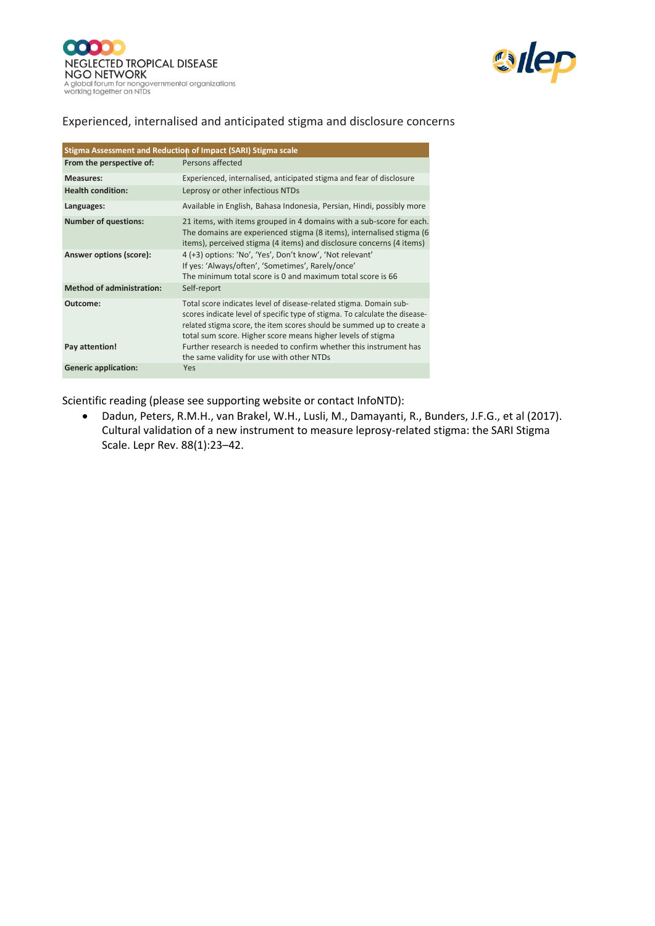



## Experienced, internalised and anticipated stigma and disclosure concerns

| Stigma Assessment and Reduction of Impact (SARI) Stigma scale |                                                                                                                                                                                                                                                                                           |
|---------------------------------------------------------------|-------------------------------------------------------------------------------------------------------------------------------------------------------------------------------------------------------------------------------------------------------------------------------------------|
| From the perspective of:                                      | Persons affected                                                                                                                                                                                                                                                                          |
| <b>Measures:</b>                                              | Experienced, internalised, anticipated stigma and fear of disclosure                                                                                                                                                                                                                      |
| <b>Health condition:</b>                                      | Leprosy or other infectious NTDs                                                                                                                                                                                                                                                          |
| Languages:                                                    | Available in English, Bahasa Indonesia, Persian, Hindi, possibly more                                                                                                                                                                                                                     |
| <b>Number of questions:</b>                                   | 21 items, with items grouped in 4 domains with a sub-score for each.<br>The domains are experienced stigma (8 items), internalised stigma (6<br>items), perceived stigma (4 items) and disclosure concerns (4 items)                                                                      |
| Answer options (score):                                       | 4 (+3) options: 'No', 'Yes', Don't know', 'Not relevant'<br>If yes: 'Always/often', 'Sometimes', Rarely/once'<br>The minimum total score is 0 and maximum total score is 66                                                                                                               |
| <b>Method of administration:</b>                              | Self-report                                                                                                                                                                                                                                                                               |
| Outcome:                                                      | Total score indicates level of disease-related stigma. Domain sub-<br>scores indicate level of specific type of stigma. To calculate the disease-<br>related stigma score, the item scores should be summed up to create a<br>total sum score. Higher score means higher levels of stigma |
| Pay attention!                                                | Further research is needed to confirm whether this instrument has<br>the same validity for use with other NTDs                                                                                                                                                                            |
| <b>Generic application:</b>                                   | Yes                                                                                                                                                                                                                                                                                       |

Scientific reading (please see supporting website or contact InfoNTD):

• Dadun, Peters, R.M.H., van Brakel, W.H., Lusli, M., Damayanti, R., Bunders, J.F.G., et al (2017). Cultural validation of a new instrument to measure leprosy-related stigma: the SARI Stigma Scale. Lepr Rev. 88(1):23–42.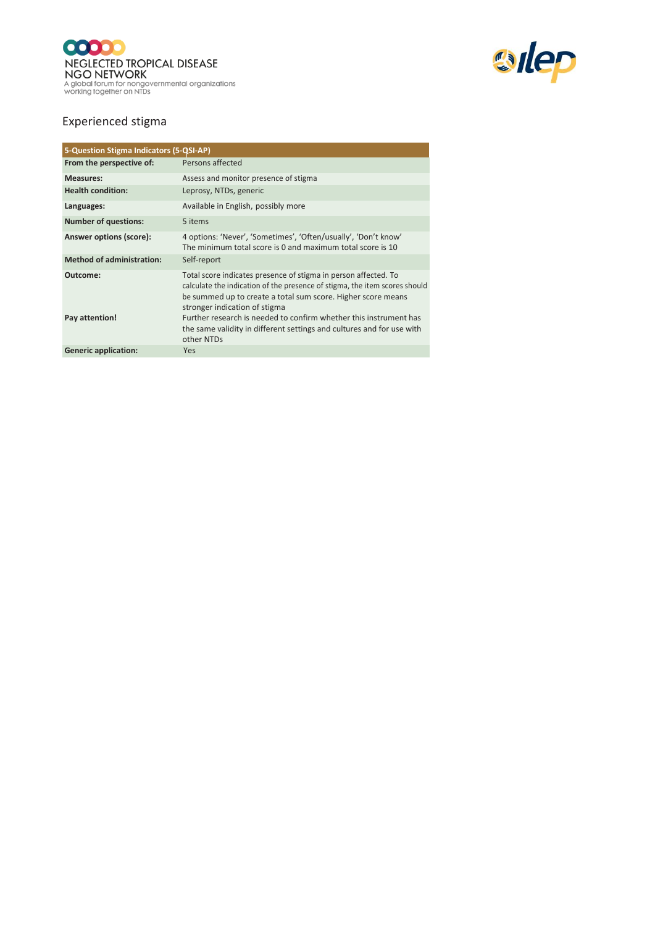



## Experienced stigma

| 5-Question Stigma Indicators (5-QSI-AP) |                                                                                                                                                                                                                                                |
|-----------------------------------------|------------------------------------------------------------------------------------------------------------------------------------------------------------------------------------------------------------------------------------------------|
| From the perspective of:                | Persons affected                                                                                                                                                                                                                               |
| <b>Measures:</b>                        | Assess and monitor presence of stigma                                                                                                                                                                                                          |
| <b>Health condition:</b>                | Leprosy, NTDs, generic                                                                                                                                                                                                                         |
| Languages:                              | Available in English, possibly more                                                                                                                                                                                                            |
| <b>Number of questions:</b>             | 5 items                                                                                                                                                                                                                                        |
| Answer options (score):                 | 4 options: 'Never', 'Sometimes', 'Often/usually', 'Don't know'<br>The minimum total score is 0 and maximum total score is 10                                                                                                                   |
| <b>Method of administration:</b>        | Self-report                                                                                                                                                                                                                                    |
| Outcome:                                | Total score indicates presence of stigma in person affected. To<br>calculate the indication of the presence of stigma, the item scores should<br>be summed up to create a total sum score. Higher score means<br>stronger indication of stigma |
| Pay attention!                          | Further research is needed to confirm whether this instrument has<br>the same validity in different settings and cultures and for use with<br>other NTDs                                                                                       |
| <b>Generic application:</b>             | Yes                                                                                                                                                                                                                                            |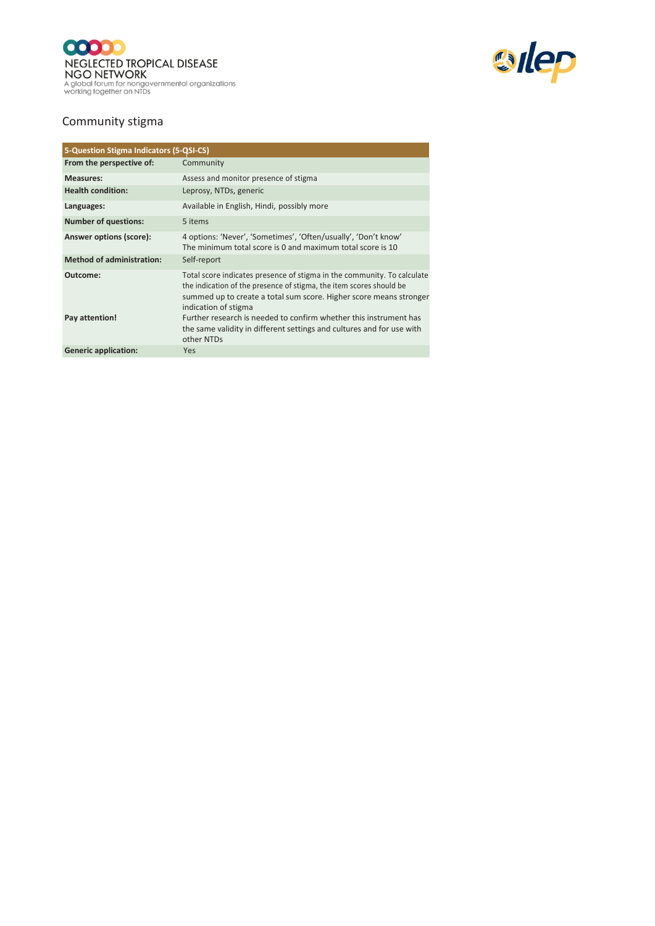



# Community stigma

| 5-Question Stigma Indicators (5-QSI-CS) |                                                                                                                                                                                                                                              |
|-----------------------------------------|----------------------------------------------------------------------------------------------------------------------------------------------------------------------------------------------------------------------------------------------|
| From the perspective of:                | Community                                                                                                                                                                                                                                    |
| <b>Measures:</b>                        | Assess and monitor presence of stigma                                                                                                                                                                                                        |
| <b>Health condition:</b>                | Leprosy, NTDs, generic                                                                                                                                                                                                                       |
| Languages:                              | Available in English, Hindi, possibly more                                                                                                                                                                                                   |
| <b>Number of questions:</b>             | 5 items                                                                                                                                                                                                                                      |
| Answer options (score):                 | 4 options: 'Never', 'Sometimes', 'Often/usually', 'Don't know'<br>The minimum total score is 0 and maximum total score is 10                                                                                                                 |
| <b>Method of administration:</b>        | Self-report                                                                                                                                                                                                                                  |
| Outcome:                                | Total score indicates presence of stigma in the community. To calculate<br>the indication of the presence of stigma, the item scores should be<br>summed up to create a total sum score. Higher score means stronger<br>indication of stigma |
| Pay attention!                          | Further research is needed to confirm whether this instrument has<br>the same validity in different settings and cultures and for use with<br>other NTDs                                                                                     |
| <b>Generic application:</b>             | Yes                                                                                                                                                                                                                                          |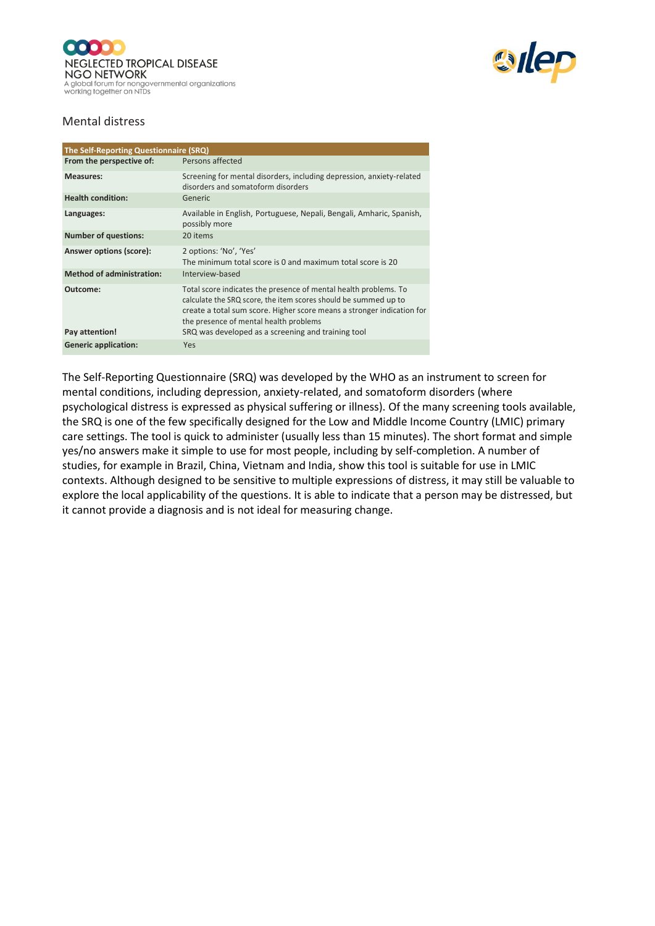



#### Mental distress

| The Self-Reporting Questionnaire (SRQ) |                                                                                                                                                                                                                                                         |
|----------------------------------------|---------------------------------------------------------------------------------------------------------------------------------------------------------------------------------------------------------------------------------------------------------|
| From the perspective of:               | Persons affected                                                                                                                                                                                                                                        |
| <b>Measures:</b>                       | Screening for mental disorders, including depression, anxiety-related<br>disorders and somatoform disorders                                                                                                                                             |
| <b>Health condition:</b>               | Generic                                                                                                                                                                                                                                                 |
| Languages:                             | Available in English, Portuguese, Nepali, Bengali, Amharic, Spanish,<br>possibly more                                                                                                                                                                   |
| <b>Number of questions:</b>            | 20 items                                                                                                                                                                                                                                                |
| Answer options (score):                | 2 options: 'No', 'Yes'<br>The minimum total score is 0 and maximum total score is 20                                                                                                                                                                    |
| <b>Method of administration:</b>       | Interview-based                                                                                                                                                                                                                                         |
| Outcome:                               | Total score indicates the presence of mental health problems. To<br>calculate the SRQ score, the item scores should be summed up to<br>create a total sum score. Higher score means a stronger indication for<br>the presence of mental health problems |
| Pay attention!                         | SRQ was developed as a screening and training tool                                                                                                                                                                                                      |
| <b>Generic application:</b>            | Yes                                                                                                                                                                                                                                                     |

The Self-Reporting Questionnaire (SRQ) was developed by the WHO as an instrument to screen for mental conditions, including depression, anxiety-related, and somatoform disorders (where psychological distress is expressed as physical suffering or illness). Of the many screening tools available, the SRQ is one of the few specifically designed for the Low and Middle Income Country (LMIC) primary care settings. The tool is quick to administer (usually less than 15 minutes). The short format and simple yes/no answers make it simple to use for most people, including by self-completion. A number of studies, for example in Brazil, China, Vietnam and India, show this tool is suitable for use in LMIC contexts. Although designed to be sensitive to multiple expressions of distress, it may still be valuable to explore the local applicability of the questions. It is able to indicate that a person may be distressed, but it cannot provide a diagnosis and is not ideal for measuring change.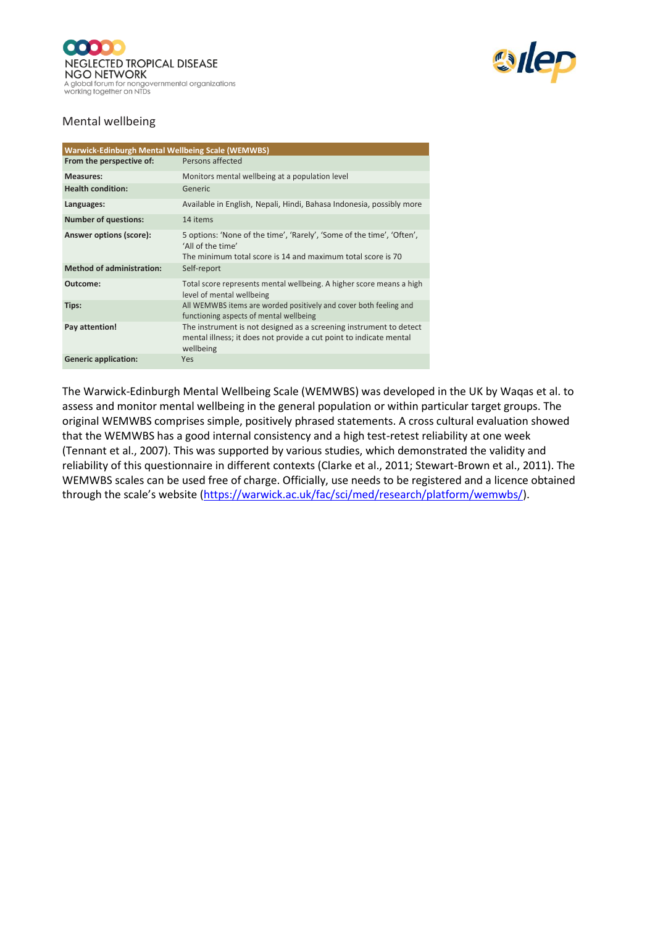



## Mental wellbeing

| <b>Warwick-Edinburgh Mental Wellbeing Scale (WEMWBS)</b> |                                                                                                                                                           |
|----------------------------------------------------------|-----------------------------------------------------------------------------------------------------------------------------------------------------------|
| From the perspective of:                                 | Persons affected                                                                                                                                          |
| <b>Measures:</b>                                         | Monitors mental wellbeing at a population level                                                                                                           |
| <b>Health condition:</b>                                 | Generic                                                                                                                                                   |
| Languages:                                               | Available in English, Nepali, Hindi, Bahasa Indonesia, possibly more                                                                                      |
| <b>Number of questions:</b>                              | 14 items                                                                                                                                                  |
| Answer options (score):                                  | 5 options: 'None of the time', 'Rarely', 'Some of the time', 'Often',<br>'All of the time'<br>The minimum total score is 14 and maximum total score is 70 |
| <b>Method of administration:</b>                         | Self-report                                                                                                                                               |
| Outcome:                                                 | Total score represents mental wellbeing. A higher score means a high<br>level of mental wellbeing                                                         |
| Tips:                                                    | All WEMWBS items are worded positively and cover both feeling and<br>functioning aspects of mental wellbeing                                              |
| Pay attention!                                           | The instrument is not designed as a screening instrument to detect<br>mental illness; it does not provide a cut point to indicate mental<br>wellbeing     |
| <b>Generic application:</b>                              | <b>Yes</b>                                                                                                                                                |

The Warwick-Edinburgh Mental Wellbeing Scale (WEMWBS) was developed in the UK by Waqas et al. to assess and monitor mental wellbeing in the general population or within particular target groups. The original WEMWBS comprises simple, positively phrased statements. A cross cultural evaluation showed that the WEMWBS has a good internal consistency and a high test-retest reliability at one week (Tennant et al., 2007). This was supported by various studies, which demonstrated the validity and reliability of this questionnaire in different contexts (Clarke et al., 2011; Stewart-Brown et al., 2011). The WEMWBS scales can be used free of charge. Officially, use needs to be registered and a licence obtained through the scale's website ([https://warwick.ac.uk/fac/sci/med/research/platform/wemwbs/\)](https://warwick.ac.uk/fac/sci/med/research/platform/wemwbs/).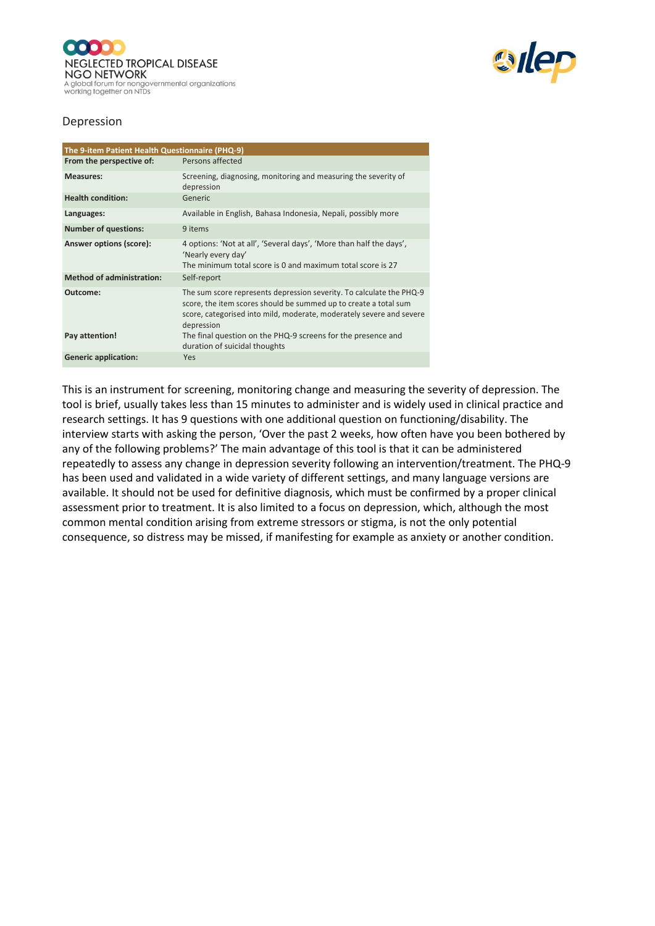



#### Depression

| The 9-item Patient Health Questionnaire (PHQ-9) |                                                                                                                                                                                                                                |
|-------------------------------------------------|--------------------------------------------------------------------------------------------------------------------------------------------------------------------------------------------------------------------------------|
| From the perspective of:                        | Persons affected                                                                                                                                                                                                               |
| <b>Measures:</b>                                | Screening, diagnosing, monitoring and measuring the severity of<br>depression                                                                                                                                                  |
| <b>Health condition:</b>                        | Generic                                                                                                                                                                                                                        |
| Languages:                                      | Available in English, Bahasa Indonesia, Nepali, possibly more                                                                                                                                                                  |
| <b>Number of questions:</b>                     | 9 items                                                                                                                                                                                                                        |
| Answer options (score):                         | 4 options: 'Not at all', 'Several days', 'More than half the days',<br>'Nearly every day'<br>The minimum total score is 0 and maximum total score is 27                                                                        |
| <b>Method of administration:</b>                | Self-report                                                                                                                                                                                                                    |
| Outcome:                                        | The sum score represents depression severity. To calculate the PHQ-9<br>score, the item scores should be summed up to create a total sum<br>score, categorised into mild, moderate, moderately severe and severe<br>depression |
| Pay attention!                                  | The final question on the PHQ-9 screens for the presence and<br>duration of suicidal thoughts                                                                                                                                  |
| <b>Generic application:</b>                     | <b>Yes</b>                                                                                                                                                                                                                     |

This is an instrument for screening, monitoring change and measuring the severity of depression. The tool is brief, usually takes less than 15 minutes to administer and is widely used in clinical practice and research settings. It has 9 questions with one additional question on functioning/disability. The interview starts with asking the person, 'Over the past 2 weeks, how often have you been bothered by any of the following problems?' The main advantage of this tool is that it can be administered repeatedly to assess any change in depression severity following an intervention/treatment. The PHQ-9 has been used and validated in a wide variety of different settings, and many language versions are available. It should not be used for definitive diagnosis, which must be confirmed by a proper clinical assessment prior to treatment. It is also limited to a focus on depression, which, although the most common mental condition arising from extreme stressors or stigma, is not the only potential consequence, so distress may be missed, if manifesting for example as anxiety or another condition.